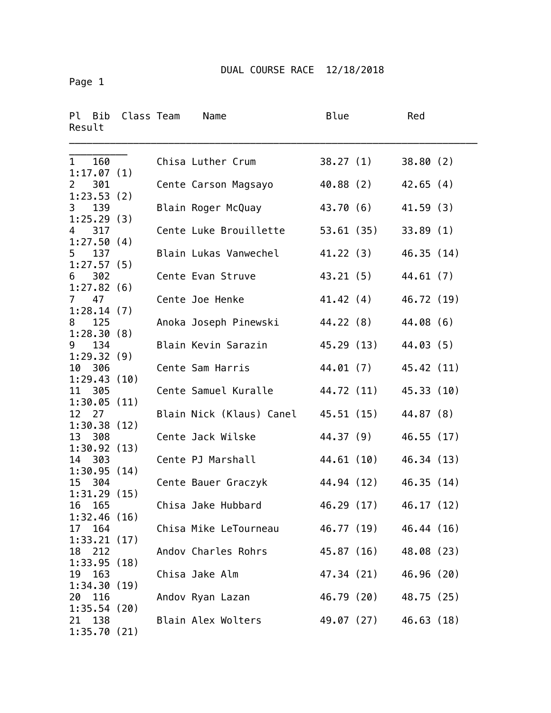Page 1

| Ρl<br>Bib<br>Result               | Class Team | Name                     | Blue       | Red        |  |
|-----------------------------------|------------|--------------------------|------------|------------|--|
| 160<br>$\mathbf{1}$<br>1:17.07(1) |            | Chisa Luther Crum        | 38.27(1)   | 38.80(2)   |  |
| 301<br>$\mathbf{2}$<br>1:23.53(2) |            | Cente Carson Magsayo     | 40.88(2)   | 42.65(4)   |  |
| 3<br>139<br>1:25.29(3)            |            | Blain Roger McQuay       | 43.70(6)   | 41.59(3)   |  |
| 317<br>4<br>1:27.50(4)            |            | Cente Luke Brouillette   | 53.61(35)  | 33.89(1)   |  |
| 137<br>5                          |            | Blain Lukas Vanwechel    | 41.22(3)   | 46.35(14)  |  |
| 1:27.57(5)<br>302<br>6            |            | Cente Evan Struve        | 43.21 (5)  | 44.61(7)   |  |
| 1:27.82(6)<br>47<br>7             |            | Cente Joe Henke          | 41.42 (4)  | 46.72 (19) |  |
| 1:28.14(7)<br>8<br>125            |            | Anoka Joseph Pinewski    | 44.22 (8)  | 44.08 (6)  |  |
| 1:28.30(8)<br>9<br>134            |            | Blain Kevin Sarazin      | 45.29 (13) | 44.03(5)   |  |
| 1:29.32(9)<br>10 306              |            | Cente Sam Harris         | 44.01 (7)  | 45.42 (11) |  |
| 1:29.43(10)<br>305<br>11          |            | Cente Samuel Kuralle     | 44.72 (11) | 45.33 (10) |  |
| 1:30.05(11)<br>12<br>27           |            | Blain Nick (Klaus) Canel | 45.51 (15) | 44.87 (8)  |  |
| 1:30.38(12)<br>13 308             |            | Cente Jack Wilske        | 44.37 (9)  | 46.55 (17) |  |
| 1:30.92(13)<br>14 303             |            | Cente PJ Marshall        | 44.61 (10) | 46.34 (13) |  |
| 1:30.95(14)<br>304<br>15          |            | Cente Bauer Graczyk      | 44.94 (12) | 46.35(14)  |  |
| 1:31.29(15)<br>165<br>16          |            | Chisa Jake Hubbard       | 46.29 (17) | 46.17 (12) |  |
| 1:32.46(16)<br>164<br>17          |            | Chisa Mike LeTourneau    | 46.77 (19) | 46.44 (16) |  |
| 1:33.21(17)                       |            |                          |            |            |  |
| 18 212<br>1:33.95(18)             |            | Andov Charles Rohrs      | 45.87 (16) | 48.08 (23) |  |
| 163<br>19<br>1:34.30(19)          |            | Chisa Jake Alm           | 47.34 (21) | 46.96 (20) |  |
| 116<br>20<br>1:35.54(20)          |            | Andov Ryan Lazan         | 46.79 (20) | 48.75 (25) |  |
| 138<br>21<br>1:35.70(21)          |            | Blain Alex Wolters       | 49.07 (27) | 46.63(18)  |  |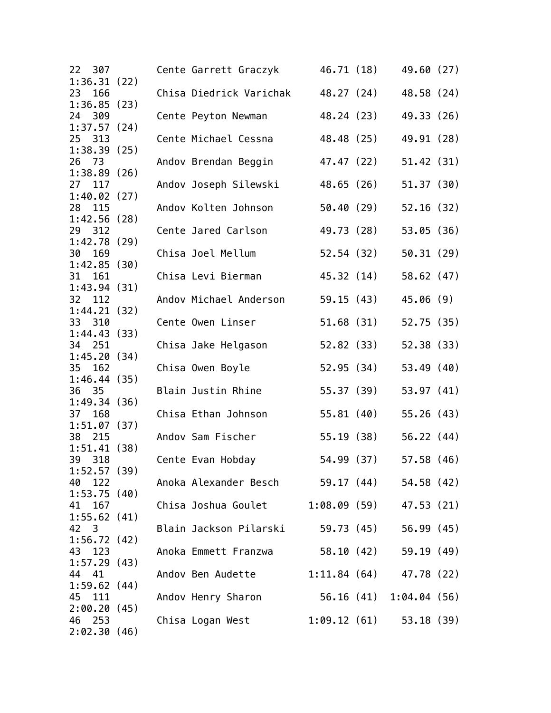| 22 307<br>1:36.31(22)    |  | Cente Garrett Graczyk                        | 46.71 (18)               |                         | 49.60 (27) |  |
|--------------------------|--|----------------------------------------------|--------------------------|-------------------------|------------|--|
| 23<br>166                |  | Chisa Diedrick Varichak                      |                          | 48.27 (24)              | 48.58 (24) |  |
| 1:36.85(23)<br>24 309    |  | Cente Peyton Newman                          |                          | 48.24 (23)              | 49.33 (26) |  |
| 1:37.57(24)              |  |                                              |                          |                         |            |  |
| 25 313<br>1:38.39(25)    |  | Cente Michael Cessna                         | 48.48 (25)               |                         | 49.91 (28) |  |
| 26<br>73                 |  | Andov Brendan Beggin                         | 47.47 (22)               |                         | 51.42(31)  |  |
| 1:38.89(26)<br>27<br>117 |  | Andov Joseph Silewski                        | 48.65 (26)               |                         | 51.37(30)  |  |
| 1:40.02(27)<br>28 115    |  | Andov Kolten Johnson                         | 50.40(29)                |                         | 52.16(32)  |  |
| 1:42.56(28)              |  |                                              |                          |                         |            |  |
| 29 312<br>1:42.78(29)    |  | Cente Jared Carlson                          |                          | 49.73 (28)              | 53.05(36)  |  |
| 30<br>169                |  | Chisa Joel Mellum                            |                          | 52.54 (32)              | 50.31(29)  |  |
| 1:42.85(30)<br>31<br>161 |  | Chisa Levi Bierman                           |                          | 45.32 (14)              | 58.62(47)  |  |
| 1:43.94(31)              |  |                                              |                          |                         |            |  |
| 32 112<br>1:44.21(32)    |  | Andov Michael Anderson                       |                          | 59.15 (43)              | 45.06(9)   |  |
| 33 310                   |  | Cente Owen Linser                            | 51.68(31)                |                         | 52.75 (35) |  |
| 1:44.43(3)<br>34 251     |  | Chisa Jake Helgason                          | 52.82(33)                |                         | 52.38 (33) |  |
| 1:45.20(34)              |  |                                              |                          |                         |            |  |
| 35<br>162<br>1:46.44(35) |  | Chisa Owen Boyle                             | 52.95(34)                |                         | 53.49(40)  |  |
| 36 35                    |  | Blain Justin Rhine                           | 55.37 (39)               |                         | 53.97 (41) |  |
| 1:49.34(36)<br>37 168    |  | Chisa Ethan Johnson                          | 55.81(40)                |                         | 55.26(43)  |  |
| 1:51.07(37)              |  |                                              |                          |                         |            |  |
| 38<br>215<br>1:51.41(38) |  | Andov Sam Fischer                            |                          | 55.19 (38)              | 56.22(44)  |  |
| 39<br>318                |  | Cente Evan Hobday                            |                          | 54.99 (37)              | 57.58(46)  |  |
| 1:52.57(39)<br>40 122    |  | Anoka Alexander Besch 59.17 (44) 54.58 (42)  |                          |                         |            |  |
| 1:53.75(40)              |  |                                              |                          |                         |            |  |
| 41 167<br>1:55.62(41)    |  | Chisa Joshua Goulet 1:08.09 (59) 47.53 (21)  |                          |                         |            |  |
| 42 3                     |  | Blain Jackson Pilarski 59.73 (45) 56.99 (45) |                          |                         |            |  |
| 1:56.72(42)<br>43<br>123 |  | Anoka Emmett Franzwa                         |                          | 58.10 (42) 59.19 (49)   |            |  |
| 1:57.29(43)              |  |                                              |                          |                         |            |  |
| 44 41<br>1:59.62(44)     |  | Andov Ben Audette                            | $1:11.84(64)$ 47.78 (22) |                         |            |  |
| 45 111                   |  | Andov Henry Sharon                           |                          | 56.16 (41) 1:04.04 (56) |            |  |
| 2:00.20(45)<br>46 253    |  | Chisa Logan West                             | $1:09.12(61)$ 53.18 (39) |                         |            |  |
| 2:02.30(46)              |  |                                              |                          |                         |            |  |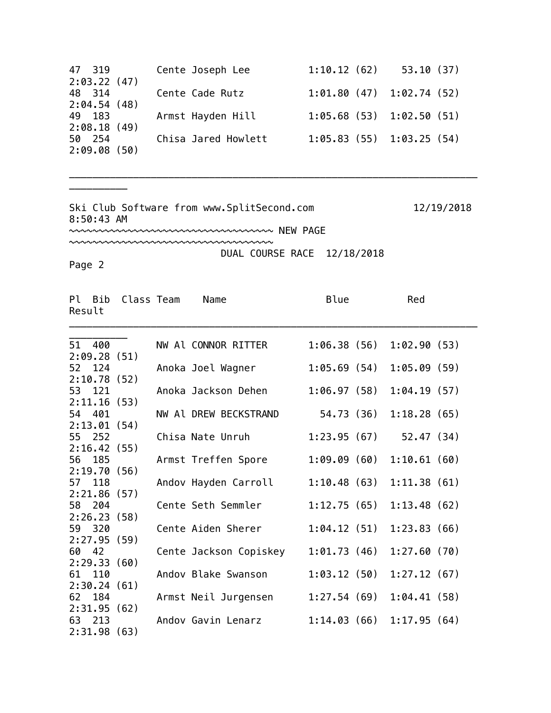| 47 319      | Cente Joseph Lee    | 1:10.12(62)                 | 53.10(37) |
|-------------|---------------------|-----------------------------|-----------|
| 2:03.22(47) |                     |                             |           |
| 48 314      | Cente Cade Rutz     | $1:01.80(47)$ $1:02.74(52)$ |           |
| 2:04.54(48) |                     |                             |           |
| 49 183      | Armst Hayden Hill   | $1:05.68(53)$ $1:02.50(51)$ |           |
| 2:08.18(49) |                     |                             |           |
| 50 254      | Chisa Jared Howlett | 1:05.83(55)1:03.25(54)      |           |
| 2:09.08(50) |                     |                             |           |

\_\_\_\_\_\_\_\_\_\_\_\_\_\_\_\_\_\_\_\_\_\_\_\_\_\_\_\_\_\_\_\_\_\_\_\_\_\_\_\_\_\_\_\_\_\_\_\_\_\_\_\_\_\_\_\_\_\_\_\_\_\_\_\_\_\_\_\_\_\_

Ski Club Software from www.SplitSecond.com 12/19/2018 8:50:43 AM

~~~~~~~~~~~~~~~~~~~~~~~~~~~~~~~~~~~ NEW PAGE

~~~~~~~~~~~~~~~~~~~~~~~~~~~~~~~~~~~ DUAL COURSE RACE 12/18/2018

Page 2

\_\_\_\_\_\_\_\_\_\_

| Result | Pl Bib  | Class Team  | Name                   | Blue        | Red         |  |
|--------|---------|-------------|------------------------|-------------|-------------|--|
| 51     | 400     |             | NW Al CONNOR RITTER    | 1:06.38(56) | 1:02.90(53) |  |
|        |         | 2:09.28(51) |                        |             |             |  |
|        | 52 124  |             | Anoka Joel Wagner      | 1:05.69(54) | 1:05.09(59) |  |
|        |         | 2:10.78(52) |                        |             |             |  |
|        | 53 121  |             | Anoka Jackson Dehen    | 1:06.97(58) | 1:04.19(57) |  |
|        |         | 2:11.16(53) |                        |             |             |  |
| 54     | 401     |             | NW Al DREW BECKSTRAND  | 54.73 (36)  | 1:18.28(65) |  |
|        |         | 2:13.01(54) |                        |             |             |  |
| 55     | 252     |             | Chisa Nate Unruh       | 1:23.95(67) | 52.47(34)   |  |
|        |         | 2:16.42(55) |                        |             |             |  |
| 56     | 185     |             | Armst Treffen Spore    | 1:09.09(60) | 1:10.61(60) |  |
|        |         | 2:19.70(56) |                        |             |             |  |
| 57     | 118     |             | Andov Hayden Carroll   | 1:10.48(63) | 1:11.38(61) |  |
|        |         | 2:21.86(57) |                        |             |             |  |
| 58     | 204     |             | Cente Seth Semmler     | 1:12.75(65) | 1:13.48(62) |  |
|        |         | 2:26.23(58) |                        |             |             |  |
|        | 59 320  | 2:27.95(59) | Cente Aiden Sherer     | 1:04.12(51) | 1:23.83(66) |  |
| 60     | 42      |             | Cente Jackson Copiskey | 1:01.73(46) | 1:27.60(70) |  |
|        |         | 2:29.33(60) |                        |             |             |  |
|        | 61 110  |             | Andov Blake Swanson    | 1:03.12(50) | 1:27.12(67) |  |
|        |         | 2:30.24(61) |                        |             |             |  |
| 62     | 184     |             | Armst Neil Jurgensen   | 1:27.54(69) | 1:04.41(58) |  |
|        | 2:31.95 | (62)        |                        |             |             |  |
|        | 63 213  |             | Andov Gavin Lenarz     | 1:14.03(66) | 1:17.95(64) |  |
|        |         | 2:31.98(63) |                        |             |             |  |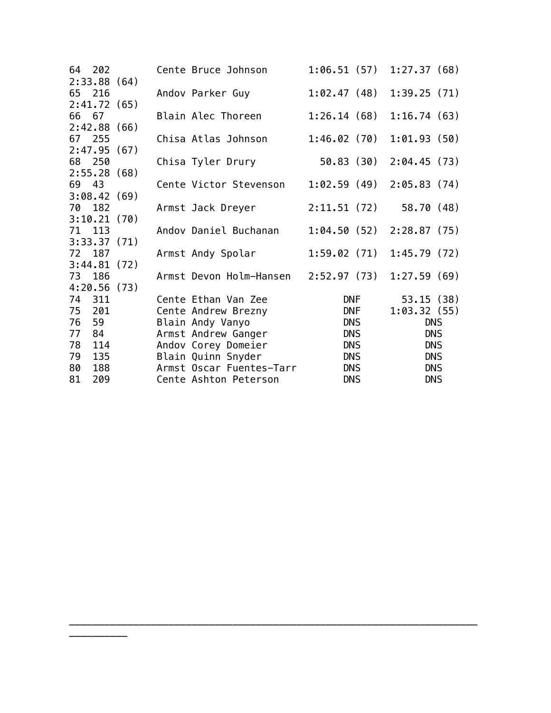|        | 64 202 |             | Cente Bruce Johnson      | 1:06.51(57) | 1:27.37(68)  |
|--------|--------|-------------|--------------------------|-------------|--------------|
|        |        | 2:33.88(64) |                          |             |              |
| 65 216 |        |             | Andov Parker Guy         | 1:02.47(48) | 1:39.25(71)  |
|        |        | 2:41.72(65) |                          |             |              |
| 66 67  |        |             | Blain Alec Thoreen       | 1:26.14(68) | 1:16.74(63)  |
|        |        | 2:42.88(66) |                          |             |              |
| 67 255 |        |             | Chisa Atlas Johnson      | 1:46.02(70) | 1:01.93(50)  |
|        |        | 2:47.95(67) |                          |             |              |
| 68 250 |        |             | Chisa Tyler Drury        | 50.83 (30)  | 2:04.45 (73) |
|        |        | 2:55.28(68) |                          |             |              |
| 69 43  |        |             | Cente Victor Stevenson   | 1:02.59(49) | 2:05.83(74)  |
|        |        | 3:08.42(69) |                          |             |              |
| 70 182 |        |             | Armst Jack Dreyer        | 2:11.51(72) | 58.70 (48)   |
|        |        | 3:10.21(70) |                          |             |              |
| 71 113 |        |             | Andov Daniel Buchanan    | 1:04.50(52) | 2:28.87(75)  |
|        |        | 3:33.37(71) |                          |             |              |
| 72 187 |        |             | Armst Andy Spolar        | 1:59.02(71) | 1:45.79(72)  |
|        |        | 3:44.81(72) |                          |             |              |
| 73 186 |        |             | Armst Devon Holm-Hansen  | 2:52.97(73) | 1:27.59(69)  |
|        |        | 4:20.56(73) |                          |             |              |
| 74 311 |        |             | Cente Ethan Van Zee      | DNF         | 53.15(38)    |
| 75     | 201    |             | Cente Andrew Brezny      | <b>DNF</b>  | 1:03.32(55)  |
| 76     | 59     |             | Blain Andy Vanyo         | <b>DNS</b>  | <b>DNS</b>   |
| 77     | 84     |             | Armst Andrew Ganger      | <b>DNS</b>  | <b>DNS</b>   |
| 78     | 114    |             | Andov Corey Domeier      | <b>DNS</b>  | <b>DNS</b>   |
| 79     | 135    |             | Blain Quinn Snyder       | <b>DNS</b>  | <b>DNS</b>   |
| 80     | 188    |             | Armst Oscar Fuentes-Tarr | <b>DNS</b>  | <b>DNS</b>   |
| 81     | 209    |             | Cente Ashton Peterson    | <b>DNS</b>  | <b>DNS</b>   |

\_\_\_\_\_\_\_\_\_\_\_\_\_\_\_\_\_\_\_\_\_\_\_\_\_\_\_\_\_\_\_\_\_\_\_\_\_\_\_\_\_\_\_\_\_\_\_\_\_\_\_\_\_\_\_\_\_\_\_\_\_\_\_\_\_\_\_\_\_\_

\_\_\_\_\_\_\_\_\_\_